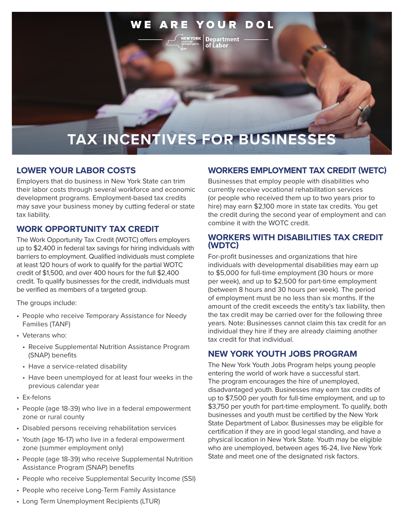#### **WEARE** YOUR **DOL**

**Department** of Labor

# **TAX INCENTIVES FOR BUSINESSES**

#### **LOWER YOUR LABOR COSTS**

Employers that do business in New York State can trim their labor costs through several workforce and economic development programs. Employment-based tax credits may save your business money by cutting federal or state tax liability.

#### **WORK OPPORTUNITY TAX CREDIT**

The Work Opportunity Tax Credit (WOTC) offers employers up to \$2,400 in federal tax savings for hiring individuals with barriers to employment. Qualified individuals must complete at least 120 hours of work to qualify for the partial WOTC credit of \$1,500, and over 400 hours for the full \$2,400 credit. To qualify businesses for the credit, individuals must be verified as members of a targeted group.

The groups include:

- People who receive Temporary Assistance for Needy Families (TANF)
- Veterans who:
	- Receive Supplemental Nutrition Assistance Program (SNAP) benefits
	- Have a service-related disability
	- Have been unemployed for at least four weeks in the previous calendar year
- Ex-felons
- People (age 18-39) who live in a federal empowerment zone or rural county
- Disabled persons receiving rehabilitation services
- Youth (age 16-17) who live in a federal empowerment zone (summer employment only)
- People (age 18-39) who receive Supplemental Nutrition Assistance Program (SNAP) benefits
- People who receive Supplemental Security Income (SSI)
- People who receive Long-Term Family Assistance

#### (or people who received them up to two years prior to hire) may earn \$2,100 more in state tax credits. You get the credit during the second year of employment and can

combine it with the WOTC credit.

#### **WORKERS WITH DISABILITIES TAX CREDIT (WDTC)**

**WORKERS EMPLOYMENT TAX CREDIT (WETC)**

Businesses that employ people with disabilities who currently receive vocational rehabilitation services

For-profit businesses and organizations that hire individuals with developmental disabilities may earn up to \$5,000 for full-time employment (30 hours or more per week), and up to \$2,500 for part-time employment (between 8 hours and 30 hours per week). The period of employment must be no less than six months. If the amount of the credit exceeds the entity's tax liability, then the tax credit may be carried over for the following three years. Note: Businesses cannot claim this tax credit for an individual they hire if they are already claiming another tax credit for that individual.

#### **NEW YORK YOUTH JOBS PROGRAM**

The New York Youth Jobs Program helps young people entering the world of work have a successful start. The program encourages the hire of unemployed, disadvantaged youth. Businesses may earn tax credits of up to \$7,500 per youth for full-time employment, and up to \$3,750 per youth for part-time employment. To qualify, both businesses and youth must be certified by the New York State Department of Labor. Businesses may be eligible for certification if they are in good legal standing, and have a physical location in New York State. Youth may be eligible who are unemployed, between ages 16-24, live New York State and meet one of the designated risk factors.

• Long Term Unemployment Recipients (LTUR)